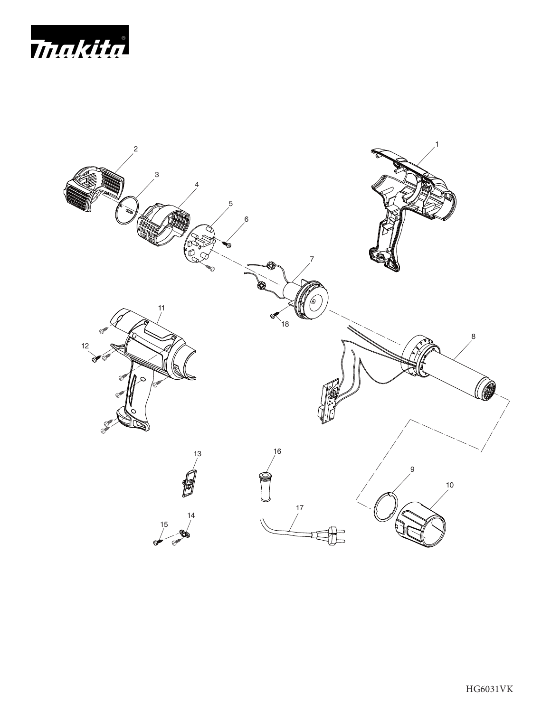